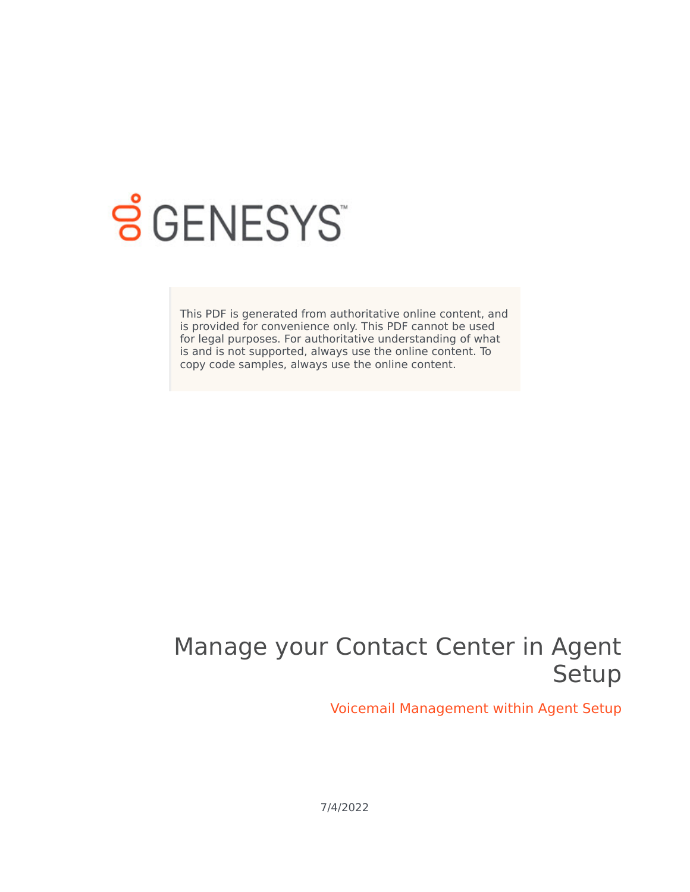

# **S** GENESYS

This PDF is generated from authoritative online content, and is provided for convenience only. This PDF cannot be used for legal purposes. For authoritative understanding of what is and is not supported, always use the online content. To copy code samples, always use the online content.

# Manage your Contact Center in Agent Setup

Voicemail Management within Agent Setup

7/4/2022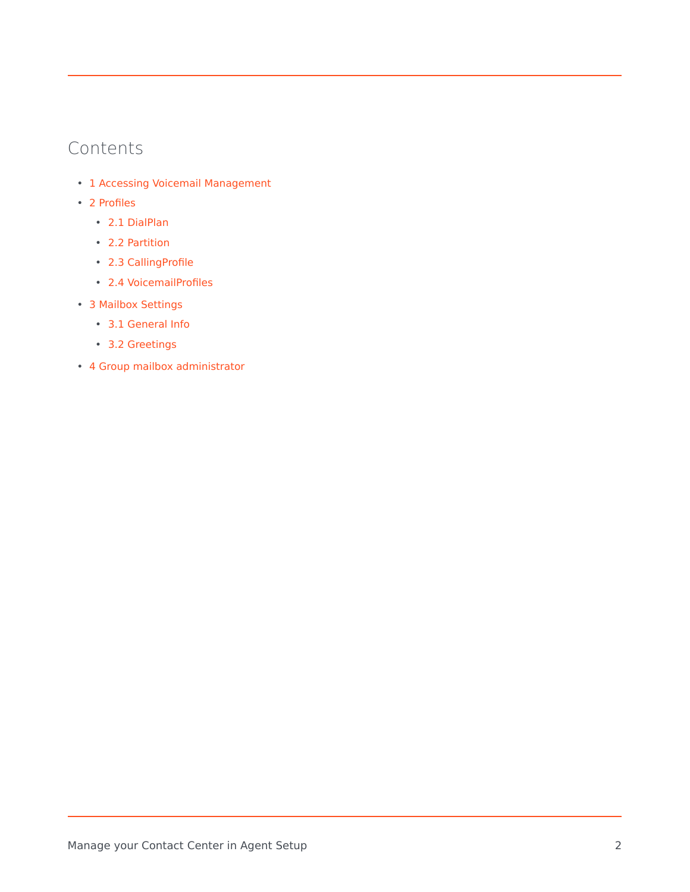### Contents

- 1 [Accessing Voicemail Management](#page-3-0)
- 2 [Profiles](#page-3-1)
	- 2.1 [DialPlan](#page-4-0)
	- 2.2 [Partition](#page-6-0)
	- 2.3 [CallingProfile](#page-7-0)
	- 2.4 [VoicemailProfiles](#page-8-0)
- 3 [Mailbox Settings](#page-9-0)
	- 3.1 [General Info](#page-10-0)
	- 3.2 [Greetings](#page-11-0)
- 4 [Group mailbox administrator](#page-12-0)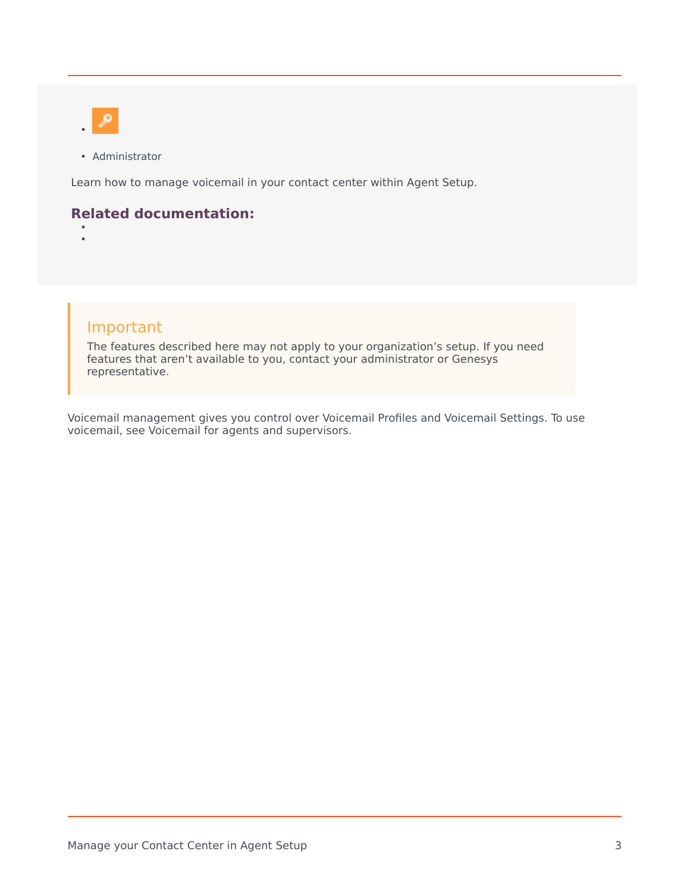

• Administrator

Learn how to manage voicemail in your contact center within Agent Setup.

#### **Related documentation:**

• •

#### Important

The features described here may not apply to your organization's setup. If you need features that aren't available to you, contact your administrator or Genesys representative.

Voicemail management gives you control over Voicemail Profiles and Voicemail Settings. To use voicemail, see Voicemail for agents and supervisors.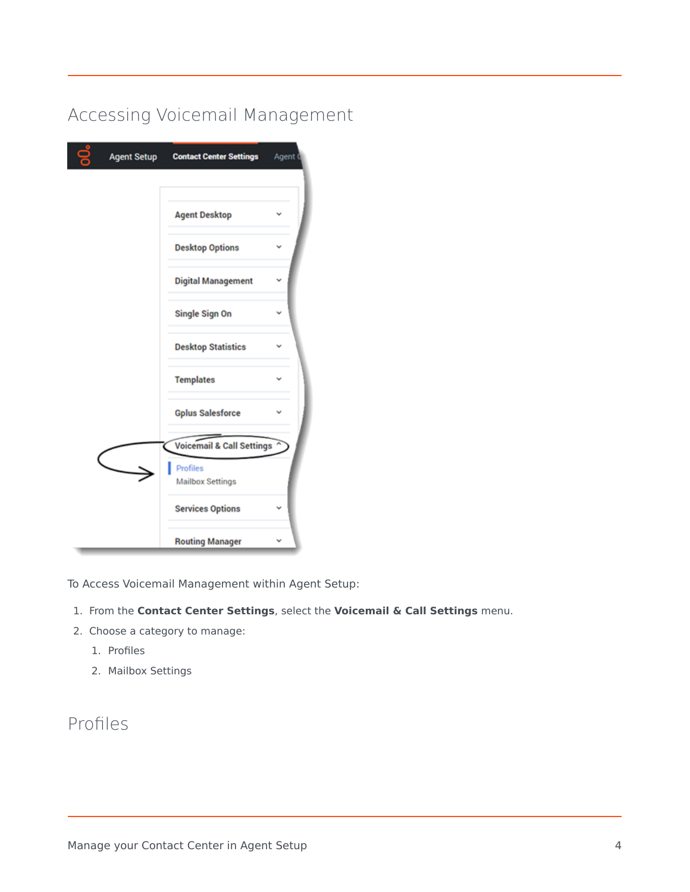# <span id="page-3-0"></span>Accessing Voicemail Management

| <b>Agent Setup</b> | <b>Contact Center Settings</b>             | Agent |
|--------------------|--------------------------------------------|-------|
|                    | <b>Agent Desktop</b>                       |       |
|                    | <b>Desktop Options</b>                     |       |
|                    | <b>Digital Management</b>                  |       |
|                    | Single Sign On                             |       |
|                    | <b>Desktop Statistics</b>                  |       |
|                    | <b>Templates</b>                           |       |
|                    | <b>Gplus Salesforce</b>                    |       |
|                    | <b>Voicemail &amp; Call Settings</b>       |       |
|                    | <b>Profiles</b><br><b>Mailbox Settings</b> |       |
|                    | <b>Services Options</b>                    |       |
|                    | <b>Routing Manager</b>                     |       |

To Access Voicemail Management within Agent Setup:

- 1. From the **Contact Center Settings**, select the **Voicemail & Call Settings** menu.
- 2. Choose a category to manage:
	- 1. Profiles
	- 2. Mailbox Settings

# <span id="page-3-1"></span>Profiles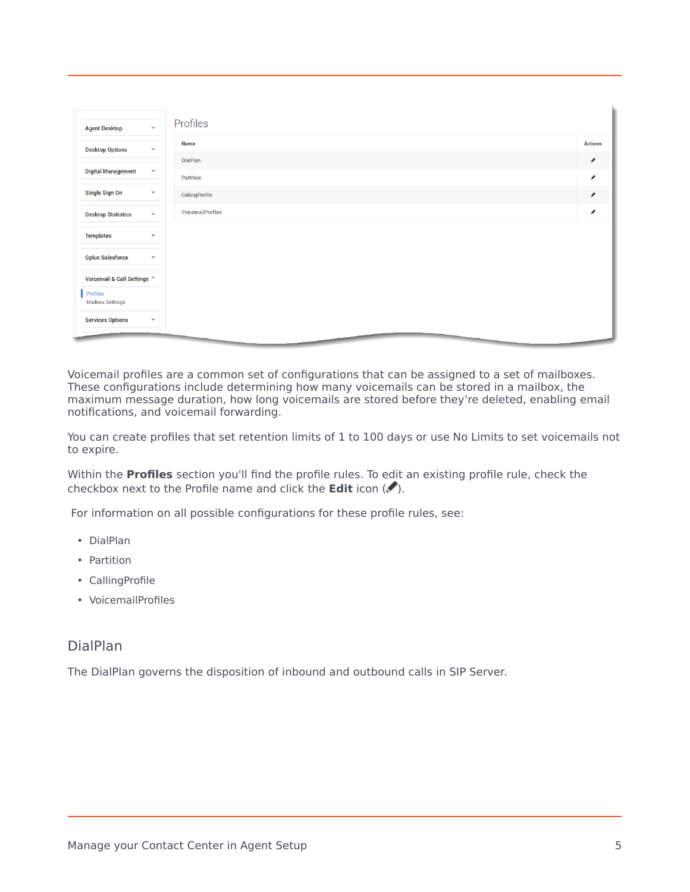| $\checkmark$<br><b>Agent Desktop</b>      | Profiles          |                |
|-------------------------------------------|-------------------|----------------|
| <b>Desktop Options</b><br>$\checkmark$    | <b>Name</b>       | <b>Actions</b> |
|                                           | DialPlan          | ℐ              |
| <b>Digital Management</b><br>$\checkmark$ | Partition         | ℐ              |
| <b>Single Sign On</b><br>$\checkmark$     | CallingProfile    | ◢              |
| <b>Desktop Statistics</b><br>$\checkmark$ | VoicemailProfiles | ℐ              |
| <b>Templates</b><br>$\checkmark$          |                   |                |
| <b>Gplus Salesforce</b><br>$\checkmark$   |                   |                |
| Voicemail & Call Settings ^               |                   |                |
| Profiles<br><b>Mailbox Settings</b>       |                   |                |
| <b>Services Options</b><br>$\checkmark$   |                   |                |
|                                           |                   |                |

Voicemail profiles are a common set of configurations that can be assigned to a set of mailboxes. These configurations include determining how many voicemails can be stored in a mailbox, the maximum message duration, how long voicemails are stored before they're deleted, enabling email notifications, and voicemail forwarding.

You can create profiles that set retention limits of 1 to 100 days or use No Limits to set voicemails not to expire.

Within the **Profiles** section you'll find the profile rules. To edit an existing profile rule, check the checkbox next to the Profile name and click the **Edit** icon ( $\blacksquare$ ).

For information on all possible configurations for these profile rules, see:

- DialPlan
- Partition
- CallingProfile
- VoicemailProfiles

#### <span id="page-4-0"></span>DialPlan

The DialPlan governs the disposition of inbound and outbound calls in SIP Server.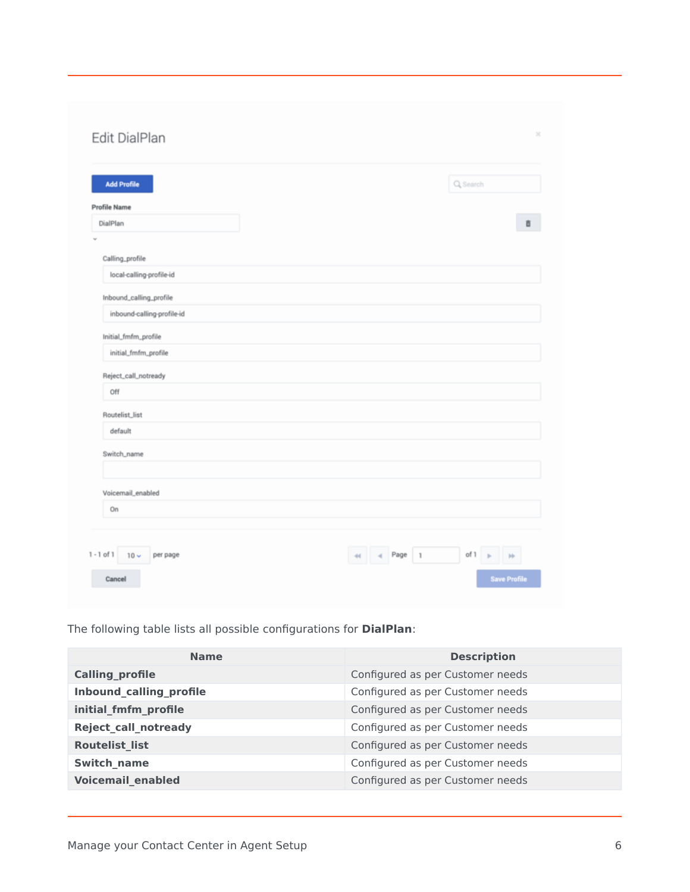| <b>Add Profile</b>         |  |  | Q, Search |   |
|----------------------------|--|--|-----------|---|
| <b>Profile Name</b>        |  |  |           |   |
| DialPlan                   |  |  |           | 盲 |
|                            |  |  |           |   |
| Calling_profile            |  |  |           |   |
| local-calling-profile-id   |  |  |           |   |
| Inbound_calling_profile    |  |  |           |   |
| inbound-calling-profile-id |  |  |           |   |
| Initial_fmfm_profile       |  |  |           |   |
| initial_fmfm_profile       |  |  |           |   |
| Reject_call_notready       |  |  |           |   |
| Off                        |  |  |           |   |
| Routelist_list             |  |  |           |   |
| default                    |  |  |           |   |
| Switch_name                |  |  |           |   |
|                            |  |  |           |   |
| Voicemail_enabled          |  |  |           |   |
| On                         |  |  |           |   |
|                            |  |  |           |   |

The following table lists all possible configurations for **DialPlan**:

| <b>Name</b>              | <b>Description</b>               |
|--------------------------|----------------------------------|
| <b>Calling profile</b>   | Configured as per Customer needs |
| Inbound_calling_profile  | Configured as per Customer needs |
| initial_fmfm_profile     | Configured as per Customer needs |
| Reject_call_notready     | Configured as per Customer needs |
| <b>Routelist list</b>    | Configured as per Customer needs |
| <b>Switch name</b>       | Configured as per Customer needs |
| <b>Voicemail enabled</b> | Configured as per Customer needs |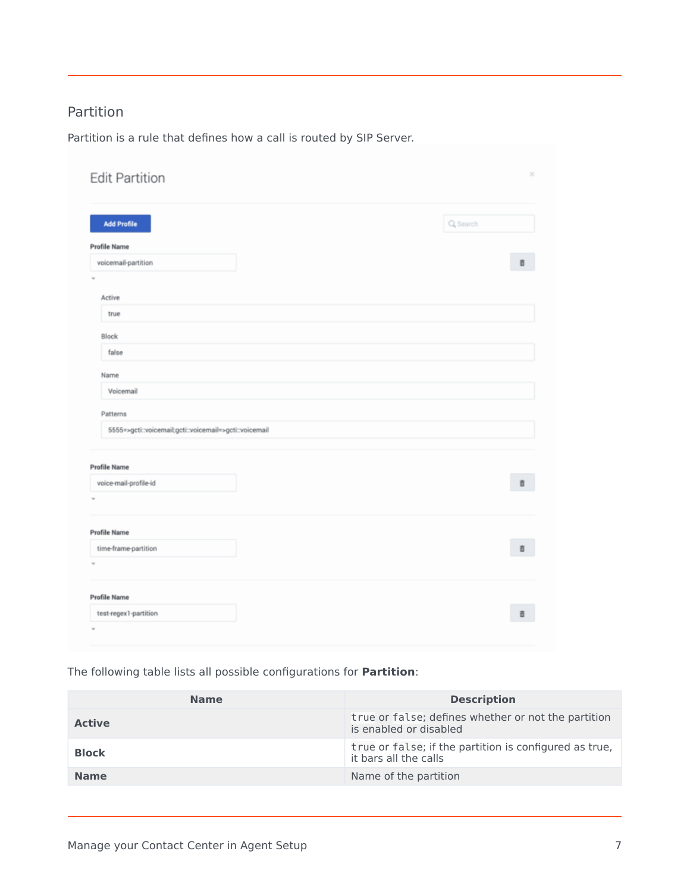#### <span id="page-6-0"></span>Partition

Partition is a rule that defines how a call is routed by SIP Server.

| <b>Edit Partition</b>                                  |  | $\mathbb{M}$ |
|--------------------------------------------------------|--|--------------|
| <b>Add Profile</b>                                     |  | Q Search     |
| <b>Profile Name</b><br>voicemail-partition             |  | B.           |
| v<br>Active                                            |  |              |
| true                                                   |  |              |
| <b>Block</b>                                           |  |              |
| false                                                  |  |              |
| Name                                                   |  |              |
| Voicemail                                              |  |              |
| Patterns                                               |  |              |
| 5555=>gcti::voicemail;gcti::voicemail=>gcti::voicemail |  |              |
|                                                        |  |              |
| <b>Profile Name</b><br>voice-mail-profile-id           |  | ā            |
|                                                        |  |              |
|                                                        |  |              |
| <b>Profile Name</b><br>time-frame-partition            |  | Ō            |
|                                                        |  |              |
|                                                        |  |              |
| <b>Profile Name</b>                                    |  |              |
| test-regex1-partition                                  |  | û            |
|                                                        |  |              |

The following table lists all possible configurations for **Partition**:

| <b>Name</b>   | <b>Description</b>                                                              |
|---------------|---------------------------------------------------------------------------------|
| <b>Active</b> | true or false; defines whether or not the partition<br>is enabled or disabled   |
| <b>Block</b>  | true or false; if the partition is configured as true,<br>it bars all the calls |
| <b>Name</b>   | Name of the partition                                                           |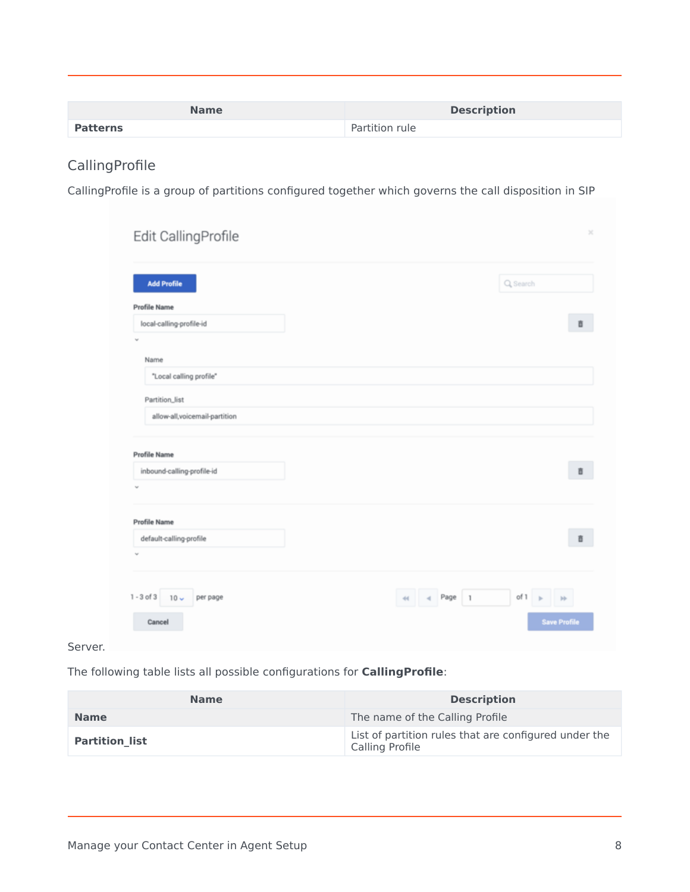| <b>Name</b>     | <b>Description</b> |
|-----------------|--------------------|
| <b>Patterns</b> | Partition rule     |

#### <span id="page-7-0"></span>CallingProfile

Calling[Profile is a group of partitions configured together which governs the call disposition in SIP](/File:ASCallingProfile_Oct2021_GAPI-23719.png)

| <b>Add Profile</b>                             | Q Search |
|------------------------------------------------|----------|
| <b>Profile Name</b>                            |          |
| local-calling-profile-id                       | ā        |
| $\omega$                                       |          |
| Name                                           |          |
| "Local calling profile"                        |          |
| Partition_list                                 |          |
| allow-all,voicemail-partition                  |          |
|                                                |          |
| <b>Profile Name</b>                            |          |
| inbound-calling-profile-id                     | 盲        |
| $\sim$                                         |          |
|                                                |          |
| <b>Profile Name</b><br>default-calling-profile | 盲        |
|                                                |          |
|                                                |          |
| $\omega$                                       |          |
|                                                |          |

Server.

The following table lists all possible configurations for **CallingProfile**:

| <b>Name</b>           | <b>Description</b>                                                       |
|-----------------------|--------------------------------------------------------------------------|
| <b>Name</b>           | The name of the Calling Profile                                          |
| <b>Partition list</b> | List of partition rules that are configured under the<br>Calling Profile |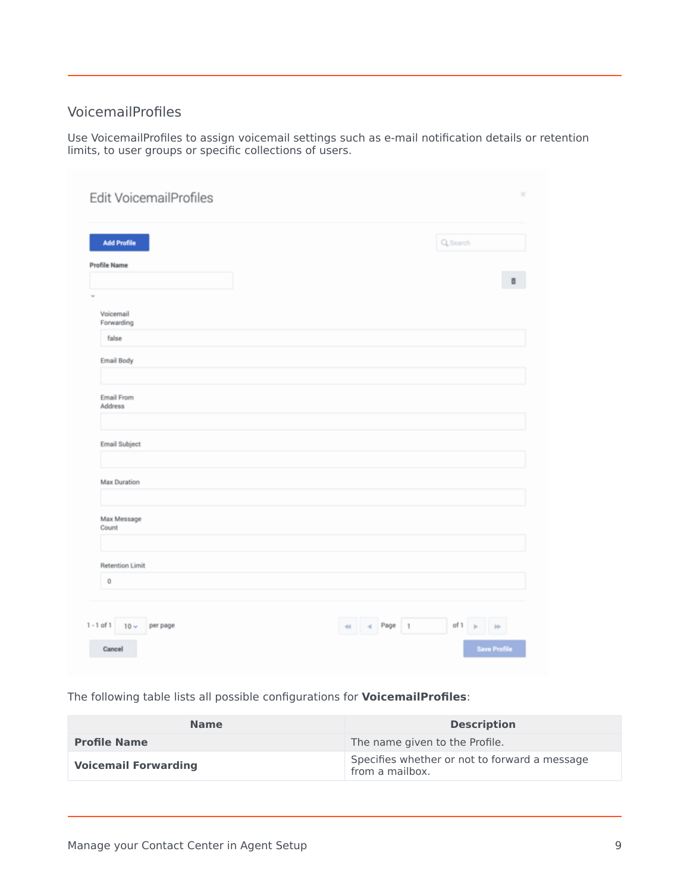#### <span id="page-8-0"></span>VoicemailProfiles

Use VoicemailProfiles to assign voicemail settings such as e-mail notification details or retention limits, to user groups or specific collections of users.

| <b>Add Profile</b>      |  | Q Search |         |
|-------------------------|--|----------|---------|
| <b>Profile Name</b>     |  |          |         |
|                         |  |          | $\rm B$ |
|                         |  |          |         |
| Voicemail<br>Forwarding |  |          |         |
| false                   |  |          |         |
| Email Body              |  |          |         |
| Email From<br>Address   |  |          |         |
| Email Subject           |  |          |         |
|                         |  |          |         |
| Max Duration            |  |          |         |
| Max Message<br>Count    |  |          |         |
| <b>Retention Limit</b>  |  |          |         |
| $\bf 0$                 |  |          |         |
|                         |  |          |         |

The following table lists all possible configurations for **VoicemailProfiles**:

| <b>Name</b>                 | <b>Description</b>                                               |
|-----------------------------|------------------------------------------------------------------|
| <b>Profile Name</b>         | The name given to the Profile.                                   |
| <b>Voicemail Forwarding</b> | Specifies whether or not to forward a message<br>from a mailbox. |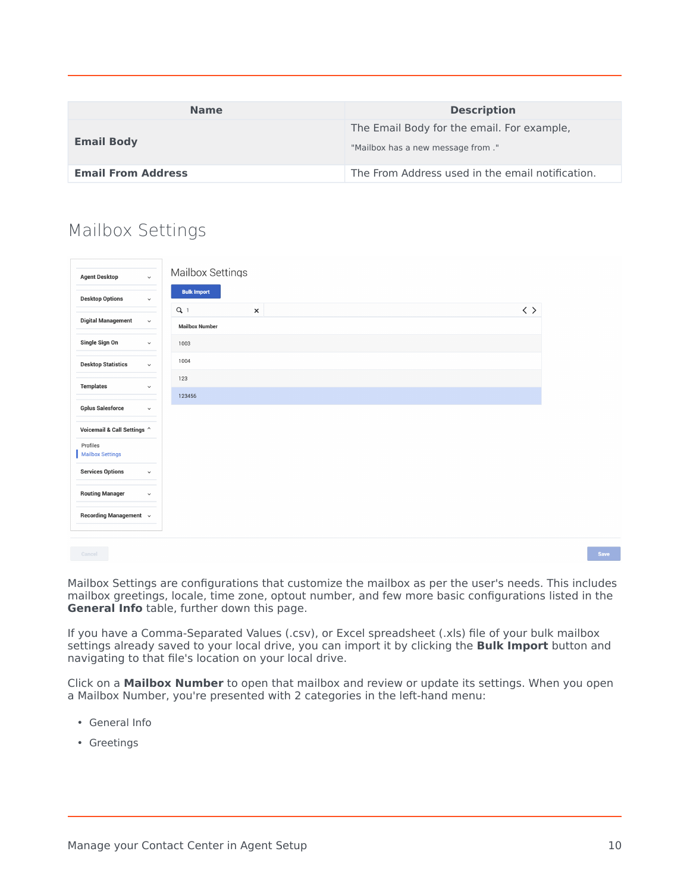| <b>Name</b>               | <b>Description</b>                                                               |
|---------------------------|----------------------------------------------------------------------------------|
| <b>Email Body</b>         | The Email Body for the email. For example,<br>"Mailbox has a new message from ." |
| <b>Email From Address</b> | The From Address used in the email notification.                                 |

## <span id="page-9-0"></span>Mailbox Settings

| <b>Agent Desktop</b>                | $\check{~}$  | Mailbox Settings               |                |  |                     |
|-------------------------------------|--------------|--------------------------------|----------------|--|---------------------|
| <b>Desktop Options</b>              | $\check{~}$  | <b>Bulk Import</b>             |                |  |                     |
| <b>Digital Management</b>           | $\check{~}$  | $Q_1$<br><b>Mailbox Number</b> | $\pmb{\times}$ |  | $\langle \ \rangle$ |
| Single Sign On                      | $\check{~}$  | 1003                           |                |  |                     |
| <b>Desktop Statistics</b>           | $\check{~}$  | 1004                           |                |  |                     |
| <b>Templates</b>                    | $\checkmark$ | 123                            |                |  |                     |
| <b>Gplus Salesforce</b>             | $\check{~}$  | 123456                         |                |  |                     |
| Voicemail & Call Settings ^         |              |                                |                |  |                     |
| Profiles<br><b>Mailbox Settings</b> |              |                                |                |  |                     |
| <b>Services Options</b>             | $\checkmark$ |                                |                |  |                     |
| <b>Routing Manager</b>              | $\checkmark$ |                                |                |  |                     |
| Recording Management v              |              |                                |                |  |                     |
| Cancel                              |              |                                |                |  |                     |

Mailbox Settings are configurations that customize the mailbox as per the user's needs. This includes mailbox greetings, locale, time zone, optout number, and few more basic configurations listed in the **General Info** table, further down this page.

If you have a Comma-Separated Values (.csv), or Excel spreadsheet (.xls) file of your bulk mailbox settings already saved to your local drive, you can import it by clicking the **Bulk Import** button and navigating to that file's location on your local drive.

Click on a **Mailbox Number** to open that mailbox and review or update its settings. When you open a Mailbox Number, you're presented with 2 categories in the left-hand menu:

- General Info
- Greetings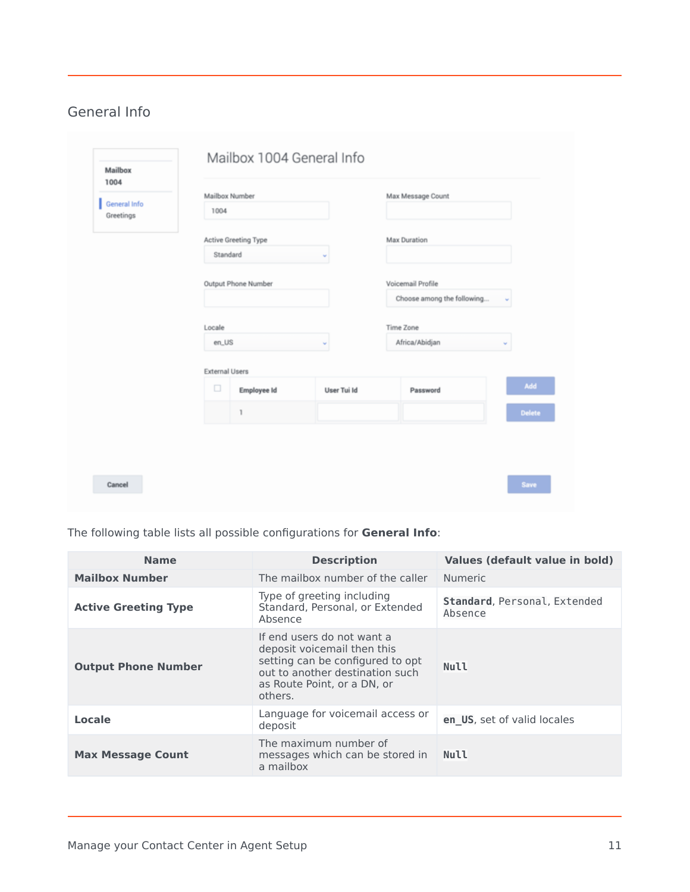#### <span id="page-10-0"></span>General Info

| 1004                      |                       |                      |             |                            |               |
|---------------------------|-----------------------|----------------------|-------------|----------------------------|---------------|
| General Info<br>Greetings | 1004                  | Mailbox Number       |             | Max Message Count          |               |
|                           |                       | Active Greeting Type |             | Max Duration               |               |
|                           | Standard              |                      | v           |                            |               |
|                           |                       | Output Phone Number  |             | Voicemail Profile          |               |
|                           |                       |                      |             | Choose among the following | v             |
|                           | Locale                |                      |             | Time Zone                  |               |
|                           | en_US                 |                      | $\sim$      | Africa/Abidjan             | $\sim$        |
|                           | <b>External Users</b> |                      |             |                            |               |
|                           | $\Box$                | Employee Id          | User Tui Id | Password                   | Add           |
|                           |                       | 1                    |             |                            | <b>Delete</b> |
|                           |                       |                      |             |                            |               |
|                           |                       |                      |             |                            |               |

The following table lists all possible configurations for **General Info**:

| <b>Name</b>                 | <b>Description</b>                                                                                                                                                         | Values (default value in bold)          |
|-----------------------------|----------------------------------------------------------------------------------------------------------------------------------------------------------------------------|-----------------------------------------|
| <b>Mailbox Number</b>       | The mailbox number of the caller                                                                                                                                           | <b>Numeric</b>                          |
| <b>Active Greeting Type</b> | Type of greeting including<br>Standard, Personal, or Extended<br>Absence                                                                                                   | Standard, Personal, Extended<br>Absence |
| <b>Output Phone Number</b>  | If end users do not want a<br>deposit voicemail then this<br>setting can be configured to opt<br>out to another destination such<br>as Route Point, or a DN, or<br>others. | <b>Null</b>                             |
| Locale                      | Language for voicemail access or<br>deposit                                                                                                                                | en US, set of valid locales             |
| <b>Max Message Count</b>    | The maximum number of<br>messages which can be stored in<br>a mailbox                                                                                                      | Null                                    |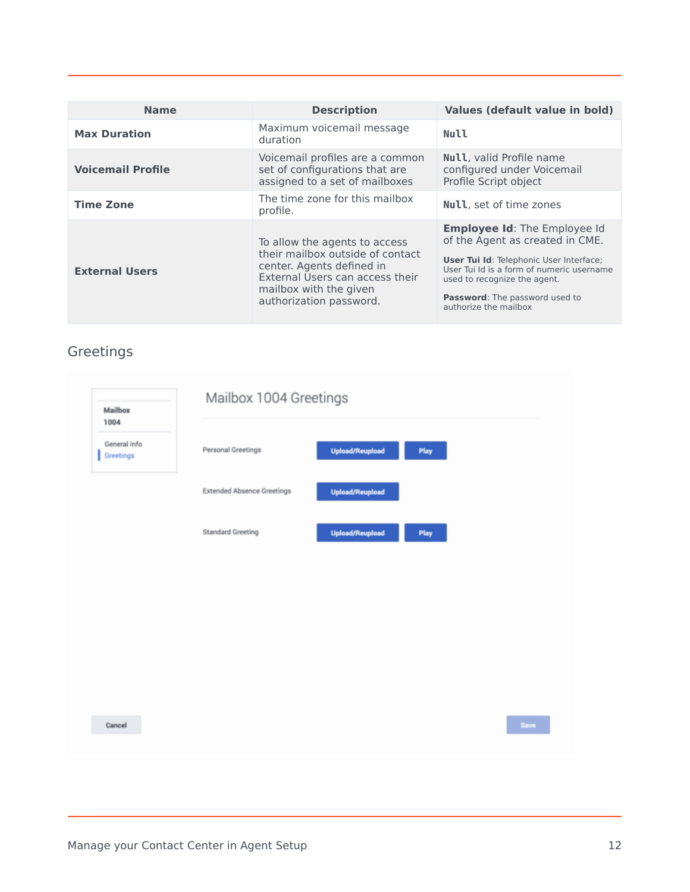| <b>Name</b>              | <b>Description</b>                                                                                                                                                                     | Values (default value in bold)                                                                                                                                                                                                                                          |
|--------------------------|----------------------------------------------------------------------------------------------------------------------------------------------------------------------------------------|-------------------------------------------------------------------------------------------------------------------------------------------------------------------------------------------------------------------------------------------------------------------------|
| <b>Max Duration</b>      | Maximum voicemail message<br>duration                                                                                                                                                  | Null                                                                                                                                                                                                                                                                    |
| <b>Voicemail Profile</b> | Voicemail profiles are a common<br>set of configurations that are<br>assigned to a set of mailboxes                                                                                    | Null, valid Profile name<br>configured under Voicemail<br>Profile Script object                                                                                                                                                                                         |
| <b>Time Zone</b>         | The time zone for this mailbox<br>profile.                                                                                                                                             | <b>Null</b> , set of time zones                                                                                                                                                                                                                                         |
| <b>External Users</b>    | To allow the agents to access<br>their mailbox outside of contact<br>center. Agents defined in<br>External Users can access their<br>mailbox with the given<br>authorization password. | <b>Employee Id: The Employee Id</b><br>of the Agent as created in CME.<br><b>User Tui Id: Telephonic User Interface;</b><br>User Tui Id is a form of numeric username<br>used to recognize the agent.<br><b>Password:</b> The password used to<br>authorize the mailbox |

# <span id="page-11-0"></span>Greetings

| Mailbox<br>1004           | Mailbox 1004 Greetings            |                        |      |      |
|---------------------------|-----------------------------------|------------------------|------|------|
| General Info<br>Greetings | Personal Greetings                | Upload/Reupload        | Play |      |
|                           | <b>Extended Absence Greetings</b> | <b>Upload/Reupload</b> |      |      |
|                           | <b>Standard Greeting</b>          | Upload/Reupload        | Play |      |
|                           |                                   |                        |      |      |
|                           |                                   |                        |      |      |
|                           |                                   |                        |      |      |
|                           |                                   |                        |      |      |
|                           |                                   |                        |      | Save |
| Cancel                    |                                   |                        |      |      |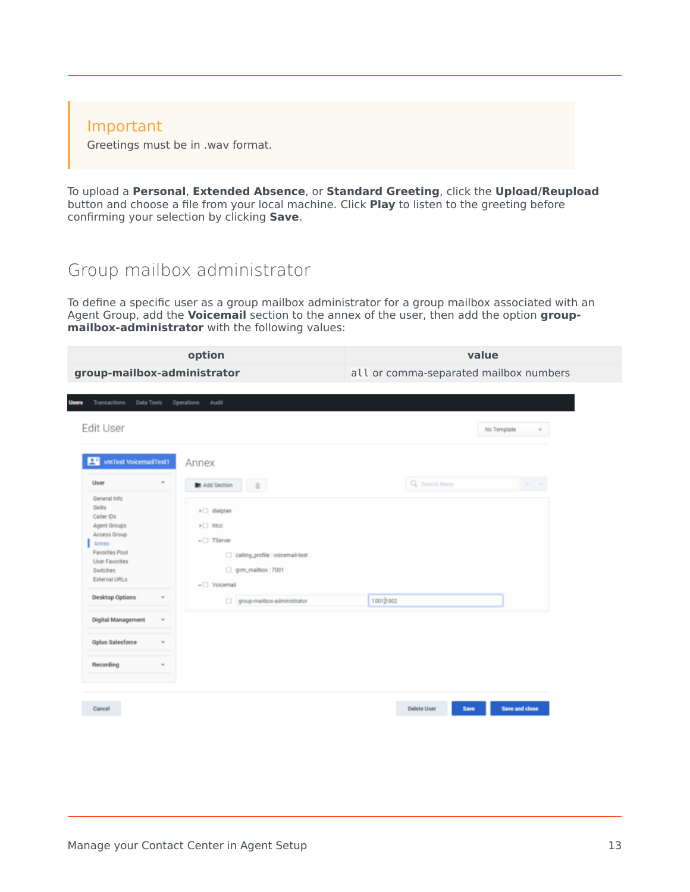#### Important

Greetings must be in .wav format.

To upload a **Personal**, **Extended Absence**, or **Standard Greeting**, click the **Upload/Reupload** button and choose a file from your local machine. Click **Play** to listen to the greeting before confirming your selection by clicking **Save**.

#### <span id="page-12-0"></span>Group mailbox administrator

To define a specific user as a group mailbox administrator for a group mailbox associated with an Agent Group, add the **Voicemail** section to the annex of the user, then add the option **groupmailbox-administrator** with the following values:

|                                                                                                                                                                                                                                                                                                                                                              | option                                                                                                                                                                                                                              | value                                  |                       |
|--------------------------------------------------------------------------------------------------------------------------------------------------------------------------------------------------------------------------------------------------------------------------------------------------------------------------------------------------------------|-------------------------------------------------------------------------------------------------------------------------------------------------------------------------------------------------------------------------------------|----------------------------------------|-----------------------|
| group-mailbox-administrator                                                                                                                                                                                                                                                                                                                                  |                                                                                                                                                                                                                                     | all or comma-separated mailbox numbers |                       |
| Transactions<br>Data Tools<br>Users<br><b>Edit User</b>                                                                                                                                                                                                                                                                                                      | Operations<br>Audit                                                                                                                                                                                                                 |                                        | No Template<br>v      |
| vmTest VoicemailTest1<br>里<br>User<br>$\sigma_{\rm c}$<br>General Info<br><b>Skills</b><br>Caller IDs<br>Agent Groups<br>Access Group<br>Annex<br><b>Favorites Pool</b><br><b>User Favorites</b><br>Switches<br><b>External URLs</b><br><b>Desktop Options</b><br>v<br><b>Digital Management</b><br>$\sim$<br><b>Gplus Salesforce</b><br>v<br>Recording<br>v | Annex<br><b>De</b> Add Section<br>$\bar{\Pi}$<br>$\triangleright$ dialplan<br>$\triangleright$ Theory<br>$\mathbf{v}$ TServer<br>calling_profile: voicemail-test<br>gym_mailbox: 7001<br>v Voicemail<br>group-mailbox-administrator | Q Search Items<br>10010002             | $\omega = \omega$     |
| Cancel                                                                                                                                                                                                                                                                                                                                                       |                                                                                                                                                                                                                                     | <b>Delete User</b><br>Save             | <b>Save and close</b> |